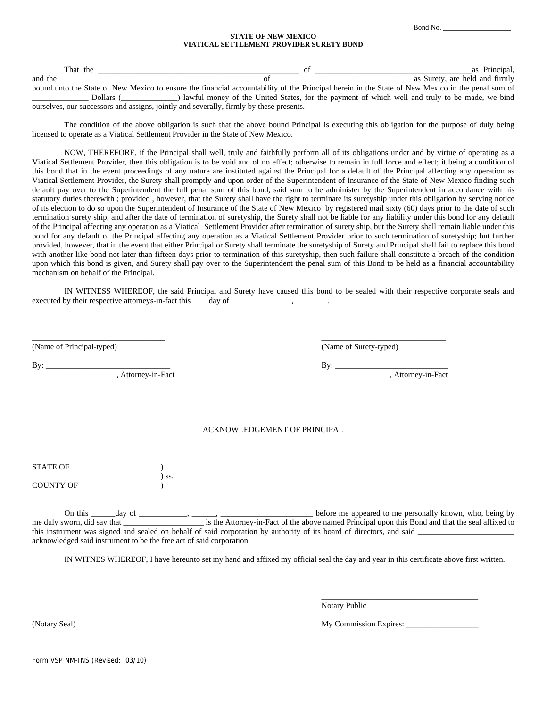Bond No. \_\_\_\_\_\_\_\_\_\_\_\_\_\_\_\_\_\_\_

## **STATE OF NEW MEXICO VIATICAL SETTLEMENT PROVIDER SURETY BOND**

| That the |                                                                                                                                                  |  | as Principal,                                                                                  |
|----------|--------------------------------------------------------------------------------------------------------------------------------------------------|--|------------------------------------------------------------------------------------------------|
| and the  |                                                                                                                                                  |  | as Surety, are held and firmly                                                                 |
|          | bound unto the State of New Mexico to ensure the financial accountability of the Principal herein in the State of New Mexico in the penal sum of |  |                                                                                                |
|          | Dollars                                                                                                                                          |  | lawful money of the United States, for the payment of which well and truly to be made, we bind |

ourselves, our successors and assigns, jointly and severally, firmly by these presents.

The condition of the above obligation is such that the above bound Principal is executing this obligation for the purpose of duly being licensed to operate as a Viatical Settlement Provider in the State of New Mexico.

NOW, THEREFORE, if the Principal shall well, truly and faithfully perform all of its obligations under and by virtue of operating as a Viatical Settlement Provider, then this obligation is to be void and of no effect; otherwise to remain in full force and effect; it being a condition of this bond that in the event proceedings of any nature are instituted against the Principal for a default of the Principal affecting any operation as Viatical Settlement Provider, the Surety shall promptly and upon order of the Superintendent of Insurance of the State of New Mexico finding such default pay over to the Superintendent the full penal sum of this bond, said sum to be administer by the Superintendent in accordance with his statutory duties therewith ; provided , however, that the Surety shall have the right to terminate its suretyship under this obligation by serving notice of its election to do so upon the Superintendent of Insurance of the State of New Mexico by registered mail sixty (60) days prior to the date of such termination surety ship, and after the date of termination of suretyship, the Surety shall not be liable for any liability under this bond for any default of the Principal affecting any operation as a Viatical Settlement Provider after termination of surety ship, but the Surety shall remain liable under this bond for any default of the Principal affecting any operation as a Viatical Settlement Provider prior to such termination of suretyship; but further provided, however, that in the event that either Principal or Surety shall terminate the suretyship of Surety and Principal shall fail to replace this bond with another like bond not later than fifteen days prior to termination of this suretyship, then such failure shall constitute a breach of the condition upon which this bond is given, and Surety shall pay over to the Superintendent the penal sum of this Bond to be held as a financial accountability mechanism on behalf of the Principal.

IN WITNESS WHEREOF, the said Principal and Surety have caused this bond to be sealed with their respective corporate seals and executed by their respective attorneys-in-fact this day of \_\_\_\_\_\_\_\_\_\_\_\_\_\_\_, \_\_\_\_

\_\_\_\_\_\_\_\_\_\_\_\_\_\_\_\_\_\_\_\_\_\_\_\_\_\_\_\_\_\_\_\_\_ \_\_\_\_\_\_\_\_\_\_\_\_\_\_\_\_\_\_\_\_\_\_\_\_\_\_\_\_\_\_\_

(Name of Principal-typed) (Name of Surety-typed)

, Attorney-in-Fact , Attorney-in-Fact

By: \_\_\_\_\_\_\_\_\_\_\_\_\_\_\_\_\_\_\_\_\_\_\_\_\_\_\_\_\_\_\_ By: \_\_\_\_\_\_\_\_\_\_\_\_\_\_\_\_\_\_\_\_\_\_\_\_\_\_\_\_

## ACKNOWLEDGEMENT OF PRINCIPAL

| <b>STATE OF</b>  |            |
|------------------|------------|
|                  | $\sum$ SS. |
| <b>COUNTY OF</b> |            |

On this \_\_\_\_\_day of \_\_\_\_\_\_\_\_, \_\_\_\_, \_\_\_\_, \_\_\_\_\_, before me appeared to me personally known, who, being by is the Attorney-in-Fact of the above named Principal upon this Bond and that the seal affixed to me during subset in appeared to the personally shown, who, being by<br>is the Attorney-in-Fact of the above named Principal upon this Bond and that the seal affixed to this instrument was signed and sealed on behalf of said corporation by authority of its board of directors, and said acknowledged said instrument to be the free act of said corporation.

IN WITNES WHEREOF, I have hereunto set my hand and affixed my official seal the day and year in this certificate above first written.

 $\overline{\phantom{a}}$  , and the contract of the contract of the contract of the contract of the contract of the contract of the contract of the contract of the contract of the contract of the contract of the contract of the contrac Notary Public

(Notary Seal) My Commission Expires: \_\_\_\_\_\_\_\_\_\_\_\_\_\_\_\_\_\_